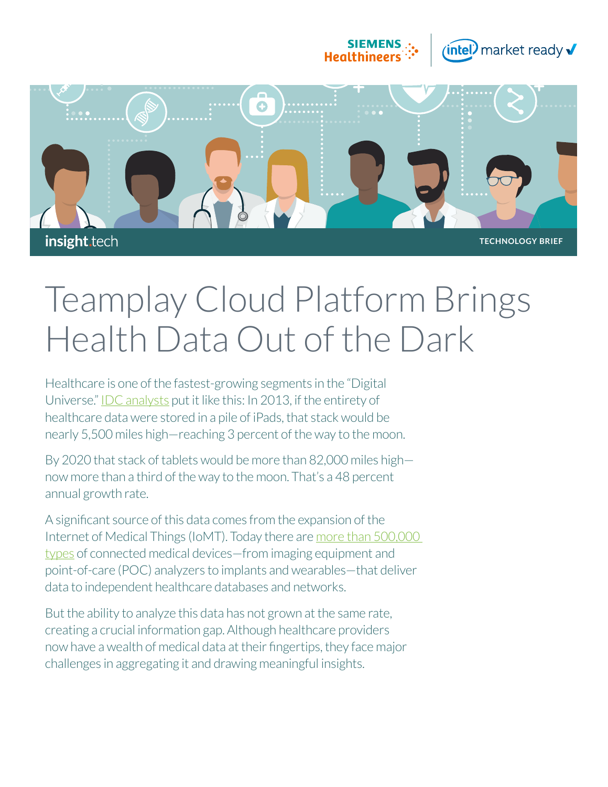



# Teamplay Cloud Platform Brings Health Data Out of the Dark

Healthcare is one of the fastest-growing segments in the "Digital Universe." [IDC analysts](https://www.emc.com/analyst-report/digital-universe-healthcare-vertical-report-ar.pdf) put it like this: In 2013, if the entirety of healthcare data were stored in a pile of iPads, that stack would be nearly 5,500 miles high—reaching 3 percent of the way to the moon.

By 2020 that stack of tablets would be more than 82,000 miles high now more than a third of the way to the moon. That's a 48 percent annual growth rate.

A significant source of this data comes from the expansion of the Internet of Medical Things (IoMT). Today there are [more than 500,000](https://www2.deloitte.com/global/en/pages/life-sciences-and-healthcare/articles/medtech-internet-of-medical-things.html)  [types](https://www2.deloitte.com/global/en/pages/life-sciences-and-healthcare/articles/medtech-internet-of-medical-things.html) of connected medical devices—from imaging equipment and point-of-care (POC) analyzers to implants and wearables—that deliver data to independent healthcare databases and networks.

But the ability to analyze this data has not grown at the same rate, creating a crucial information gap. Although healthcare providers now have a wealth of medical data at their fingertips, they face major challenges in aggregating it and drawing meaningful insights.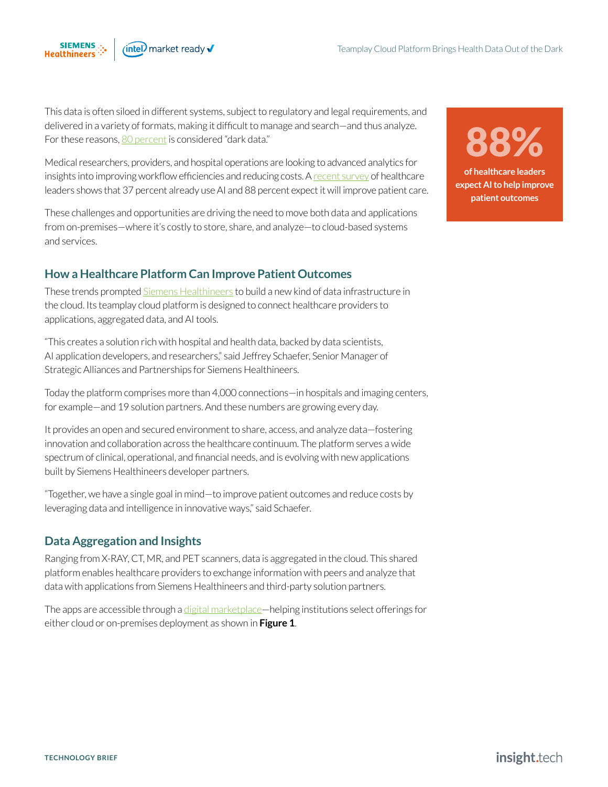This data is often siloed in different systems, subject to regulatory and legal requirements, and delivered in a variety of formats, making it difficult to manage and search—and thus analyze. For these reasons, [80 percent](https://www.healthitoutcomes.com/doc/where-should-healthcare-data-be-stored-in-and-beyond-0001) is considered "dark data."

Medical researchers, providers, and hospital operations are looking to advanced analytics for insights into improving workflow efficiencies and reducing costs. A [recent survey](https://newsroom.intel.com/news-releases/u-s-healthcare-leaders-expect-widespread-adoption-artificial-intelligence-2023?_ga=2.263699336.54162458.1562879140-142963578.1558558705&elq_cid=3385988&erpm_id=4605704) of healthcare leaders shows that 37 percent already use AI and 88 percent expect it will improve patient care.

These challenges and opportunities are driving the need to move both data and applications from on-premises—where it's costly to store, share, and analyze—to cloud-based systems and services.

## **How a Healthcare Platform Can Improve Patient Outcomes**

These trends prompted [Siemens Healthineers](https://solutionsdirectory.intel.com/member-roster/Siemens_Healthcare_GmbH?src=insight.tech&_ga=2.259587982.54162458.1562879140-142963578.1558558705&elq_cid=3385988&erpm_id=4605704) to build a new kind of data infrastructure in the cloud. Its teamplay cloud platform is designed to connect healthcare providers to applications, aggregated data, and AI tools.

"This creates a solution rich with hospital and health data, backed by data scientists, AI application developers, and researchers," said Jeffrey Schaefer, Senior Manager of Strategic Alliances and Partnerships for Siemens Healthineers.

Today the platform comprises more than 4,000 connections—in hospitals and imaging centers, for example—and 19 solution partners. And these numbers are growing every day.

It provides an open and secured environment to share, access, and analyze data—fostering innovation and collaboration across the healthcare continuum. The platform serves a wide spectrum of clinical, operational, and financial needs, and is evolving with new applications built by Siemens Healthineers developer partners.

"Together, we have a single goal in mind—to improve patient outcomes and reduce costs by leveraging data and intelligence in innovative ways," said Schaefer.

# **Data Aggregation and Insights**

Ranging from X-RAY, CT, MR, and PET scanners, data is aggregated in the cloud. This shared platform enables healthcare providers to exchange information with peers and analyze that data with applications from Siemens Healthineers and third-party solution partners.

The apps are accessible through a [digital marketplace—](https://marketplace.teamplay.siemens.com/apps)helping institutions select offerings for either cloud or on-premises deployment as shown in **Figure 1**.

**of healthcare leaders expect AI to help improve patient outcomes** 88%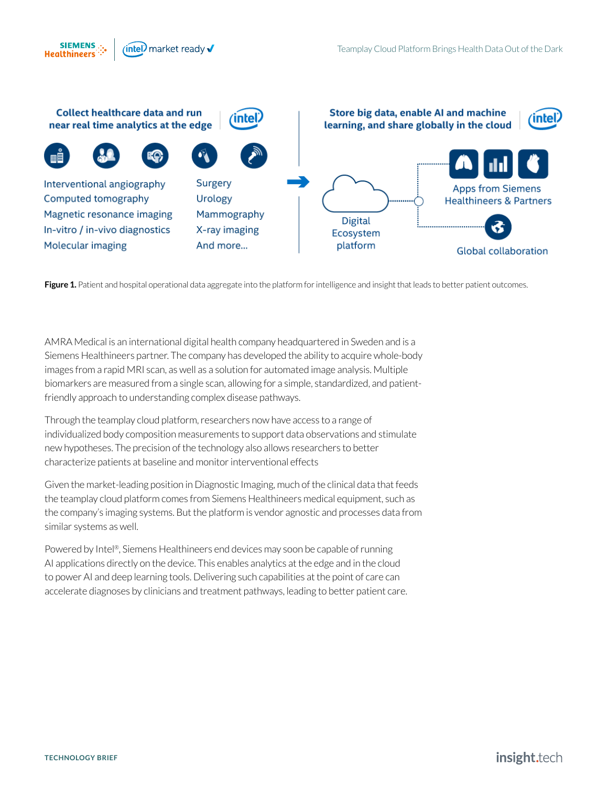



Figure 1. Patient and hospital operational data aggregate into the platform for intelligence and insight that leads to better patient outcomes.

AMRA Medical is an international digital health company headquartered in Sweden and is a Siemens Healthineers partner. The company has developed the ability to acquire whole-body images from a rapid MRI scan, as well as a solution for automated image analysis. Multiple biomarkers are measured from a single scan, allowing for a simple, standardized, and patientfriendly approach to understanding complex disease pathways.

Through the teamplay cloud platform, researchers now have access to a range of individualized body composition measurements to support data observations and stimulate new hypotheses. The precision of the technology also allows researchers to better characterize patients at baseline and monitor interventional effects

Given the market-leading position in Diagnostic Imaging, much of the clinical data that feeds the teamplay cloud platform comes from Siemens Healthineers medical equipment, such as the company's imaging systems. But the platform is vendor agnostic and processes data from similar systems as well.

Powered by Intel®, Siemens Healthineers end devices may soon be capable of running AI applications directly on the device. This enables analytics at the edge and in the cloud to power AI and deep learning tools. Delivering such capabilities at the point of care can accelerate diagnoses by clinicians and treatment pathways, leading to better patient care.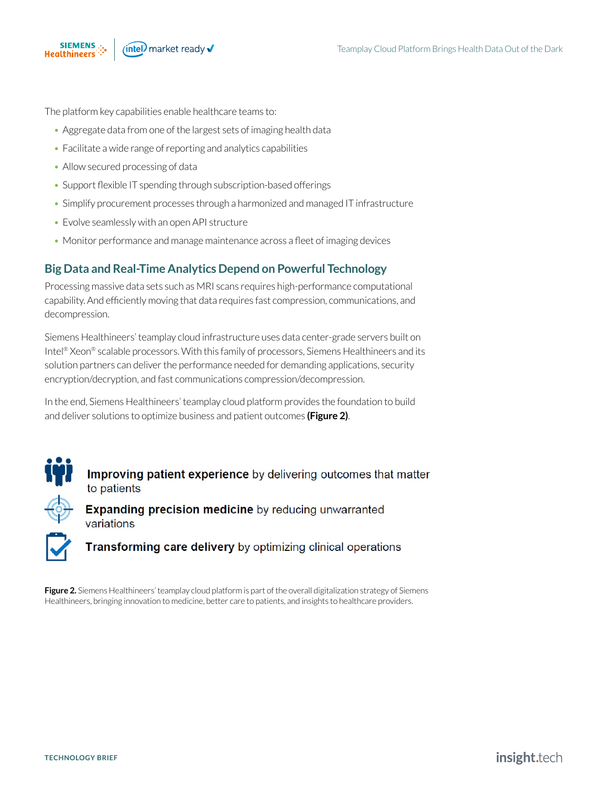The platform key capabilities enable healthcare teams to:

- Aggregate data from one of the largest sets of imaging health data
- Facilitate a wide range of reporting and analytics capabilities
- Allow secured processing of data
- Support flexible IT spending through subscription-based offerings
- Simplify procurement processes through a harmonized and managed IT infrastructure
- Evolve seamlessly with an open API structure
- Monitor performance and manage maintenance across a fleet of imaging devices

### **Big Data and Real-Time Analytics Depend on Powerful Technology**

Processing massive data sets such as MRI scans requires high-performance computational capability. And efficiently moving that data requires fast compression, communications, and decompression.

Siemens Healthineers' teamplay cloud infrastructure uses data center-grade servers built on Intel® Xeon® scalable processors. With this family of processors, Siemens Healthineers and its solution partners can deliver the performance needed for demanding applications, security encryption/decryption, and fast communications compression/decompression.

In the end, Siemens Healthineers' teamplay cloud platform provides the foundation to build and deliver solutions to optimize business and patient outcomes **(Figure 2)**.



Improving patient experience by delivering outcomes that matter to patients

**Expanding precision medicine** by reducing unwarranted variations

Transforming care delivery by optimizing clinical operations

**Figure 2.** Siemens Healthineers' teamplay cloud platform is part of the overall digitalization strategy of Siemens Healthineers, bringing innovation to medicine, better care to patients, and insights to healthcare providers.